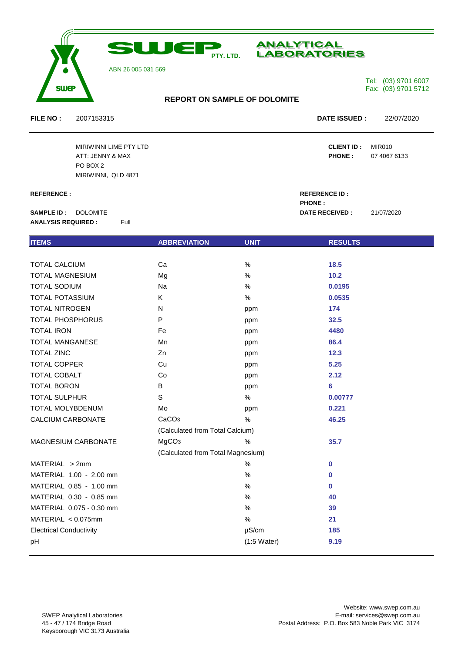

# **ANALYTICAL LABORATORIES**

ABN 26 005 031 569

## Tel: (03) 9701 6007 Fax: (03) 9701 5712

## **REPORT ON SAMPLE OF DOLOMITE**

**FILE NO :** 2007153315 **DATE ISSUED :** 22/07/2020

MIRIWINNI LIME PTY LTD **CLIENT ID :** MIR010 ATT: JENNY & MAX **PHONE :** 07 4067 6133 PO BOX 2 MIRIWINNI, QLD 4871

**SAMPLE ID :** DOLOMITE **DATE RECEIVED** : 21/07/2020 **ANALYSIS REQUIRED :** Full

| <b>ITEMS</b>                   | <b>ABBREVIATION</b>               | <b>UNIT</b>           | <b>RESULTS</b> |  |
|--------------------------------|-----------------------------------|-----------------------|----------------|--|
|                                |                                   |                       |                |  |
| <b>TOTAL CALCIUM</b>           | Ca                                | %                     | 18.5           |  |
| <b>TOTAL MAGNESIUM</b>         | Mg                                | %                     | 10.2           |  |
| <b>TOTAL SODIUM</b>            | Na                                | $\%$                  | 0.0195         |  |
| <b>TOTAL POTASSIUM</b>         | K                                 | %                     | 0.0535         |  |
| <b>TOTAL NITROGEN</b>          | N                                 | ppm                   | 174            |  |
| <b>TOTAL PHOSPHORUS</b>        | P                                 | ppm                   | 32.5           |  |
| <b>TOTAL IRON</b>              | Fe                                | ppm                   | 4480           |  |
| <b>TOTAL MANGANESE</b>         | Mn                                | ppm                   | 86.4           |  |
| <b>TOTAL ZINC</b>              | Zn                                | ppm                   | $12.3$         |  |
| <b>TOTAL COPPER</b>            | Cu                                | ppm                   | 5.25           |  |
| TOTAL COBALT                   | Co                                | ppm                   | 2.12           |  |
| <b>TOTAL BORON</b>             | В                                 | ppm                   | 6              |  |
| <b>TOTAL SULPHUR</b>           | $\mathsf S$                       | $\%$                  | 0.00777        |  |
| TOTAL MOLYBDENUM               | Mo                                | ppm                   | 0.221          |  |
| CALCIUM CARBONATE              | CaCO <sub>3</sub>                 | %                     | 46.25          |  |
|                                | (Calculated from Total Calcium)   |                       |                |  |
| <b>MAGNESIUM CARBONATE</b>     | MgCO <sub>3</sub>                 | $\%$                  | 35.7           |  |
|                                | (Calculated from Total Magnesium) |                       |                |  |
| MATERIAL > 2mm                 |                                   | %                     | $\mathbf 0$    |  |
| MATERIAL 1.00 - 2.00 mm        |                                   | %                     | $\bf{0}$       |  |
| MATERIAL 0.85 - 1.00 mm        |                                   | %                     | $\bf{0}$       |  |
| MATERIAL 0.30 - 0.85 mm        |                                   | %                     | 40             |  |
| MATERIAL 0.075 - 0.30 mm       |                                   | %                     | 39             |  |
| MATERIAL < 0.075mm             |                                   | $\%$                  | 21             |  |
| <b>Electrical Conductivity</b> |                                   | $\mu$ S/cm            | 185            |  |
| pH                             |                                   | $(1:5 \text{ Water})$ | 9.19           |  |
|                                |                                   |                       |                |  |

**REFERENCE : REFERENCE ID : PHONE :**